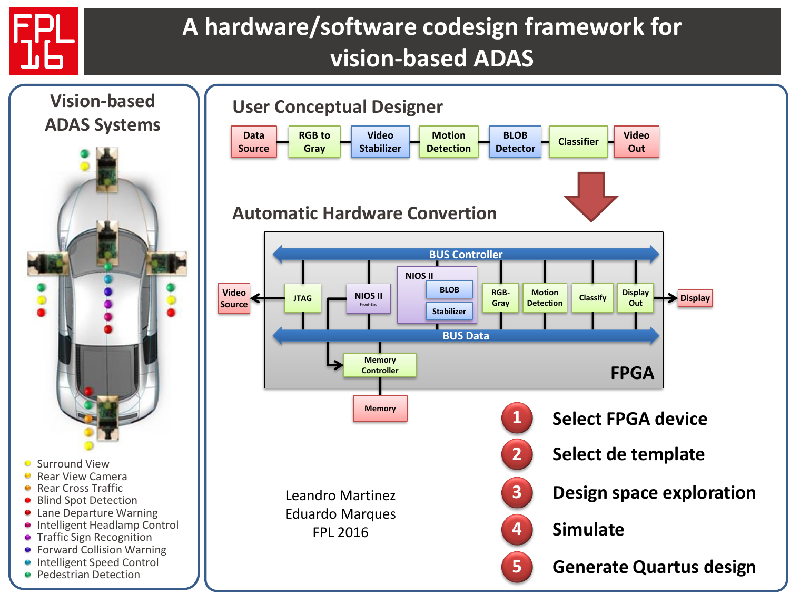

## **A hardware/software codesign framework for vision-based ADAS**

**Out**

**Out**